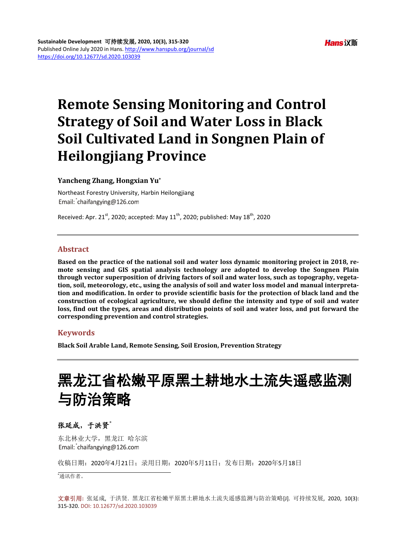# **Remote Sensing Monitoring and Control Strategy of Soil and Water Loss in Black Soil Cultivated Land in Songnen Plain of Heilongjiang Province**

### **Yancheng Zhang, Hongxian Yu\***

Northeast Forestry University, Harbin Heilongjiang Email: chaifangying@126.com

Received: Apr. 21<sup>st</sup>, 2020; accepted: May 11<sup>th</sup>, 2020; published: May 18<sup>th</sup>, 2020

# **Abstract**

**Based on the practice of the national soil and water loss dynamic monitoring project in 2018, remote sensing and GIS spatial analysis technology are adopted to develop the Songnen Plain through vector superposition of driving factors of soil and water loss, such as topography, vegetation, soil, meteorology, etc., using the analysis of soil and water loss model and manual interpretation and modification. In order to provide scientific basis for the protection of black land and the construction of ecological agriculture, we should define the intensity and type of soil and water loss, find out the types, areas and distribution points of soil and water loss, and put forward the corresponding prevention and control strategies.**

# **Keywords**

**Black Soil Arable Land, Remote Sensing, Soil Erosion, Prevention Strategy**

# 黑龙江省松嫩平原黑土耕地水土流失遥感监测 与防治策略

# 张延成,于洪贤**\***

东北林业大学,黑龙江 哈尔滨 Email: chaifangying@126.com

收稿日期:2020年4月21日;录用日期:2020年5月11日;发布日期:2020年5月18日

\* 通讯作者。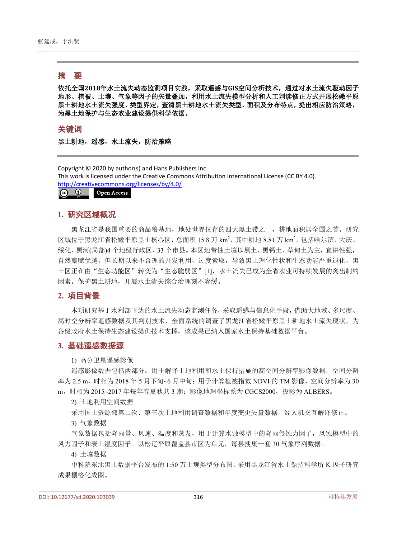# 摘 要

依托全国**2018**年水土流失动态监测项目实践,采取遥感与**GIS**空间分析技术,通过对水土流失驱动因子 地形、植被、土壤、气象等因子的矢量叠加,利用水土流失模型分析和人工判读修正方式开展松嫩平原 黑土耕地水土流失强度、类型界定,查清黑土耕地水土流失类型、面积及分布特点,提出相应防治策略, 为黑土地保护与生态农业建设提供科学依据。

关键词

黑土耕地,遥感,水土流失,防治策略

Copyright © 2020 by author(s) and Hans Publishers Inc. This work is licensed under the Creative Commons Attribution International License (CC BY 4.0). <http://creativecommons.org/licenses/by/4.0/>

 $\odot$   $\odot$ Open Access

### **1.** 研究区域概况

黑龙江省是我国重要的商品粮基地,地处世界仅存的四大黑土带之一,耕地面积居全国之首。研究 区域位于黑龙江省松嫩平原黑土核心区, 总面积 15.8 万 km<sup>2</sup>, 其中耕地 8.81 万 km<sup>2</sup>, 包括哈尔滨、大庆、 绥化、黑河(局部)4 个地级行政区、33 个市县。本区地带性土壤以黑土、黑钙土、草甸土为主,宜耕性强, 自然禀赋优越,但长期以来不合理的开发利用,过度索取,导致黑土理化性状和生态功能严重退化,黑 土区正在由"生态功能区"转变为"生态脆弱区"[\[1\]](#page-4-0),水土流失已成为全省农业可持续发展的突出制约 因素。保护黑土耕地,开展水土流失综合治理刻不容缓。

# **2.** 项目背景

本项研究基于水利部下达的水土流失动态监测任务,采取遥感与信息化手段,借助大地域、多尺度、 高时空分辨率遥感数据及其判别技术,全面系统的调查了黑龙江省松嫩平原黑土耕地水土流失现状,为 各级政府水土保持生态建设提供技术支撑,该成果已纳入国家水土保持基础数据平台。

# **3.** 基础遥感数据源

1) 高分卫星遥感影像

遥感影像数据包括两部分:用于解译土地利用和水土保持措施的高空间分辨率影像数据,空间分辨 率为 2.5 m, 时相为 2018 年 5 月下旬~6 月中旬;用于计算植被指数 NDVI 的 TM 影像, 空间分辨率为 30 m,时相为 2015~2017 年每年春夏秋共 3 期;影像地理坐标系为 CGCS2000,投影为 ALBERS。

2) 土地利用空间数据

采用国土资源部第二次、第三次土地利用调查数据和年度变更矢量数据,经人机交互解译修正。

3) 气象数据

气象数据包括降雨量、风速、温度和蒸发,用于计算水蚀模型中的降雨侵蚀力因子,风蚀模型中的 风力因子和表土湿度因子。以松辽平原覆盖县市区为单元,每县搜集一套 30 气象序列数据。

4) 土壤数据

中科院东北黑土数据平台发布的 1:50 万土壤类型分布图,采用黑龙江省水土保持科学所 K 因子研究 成果栅格化成图。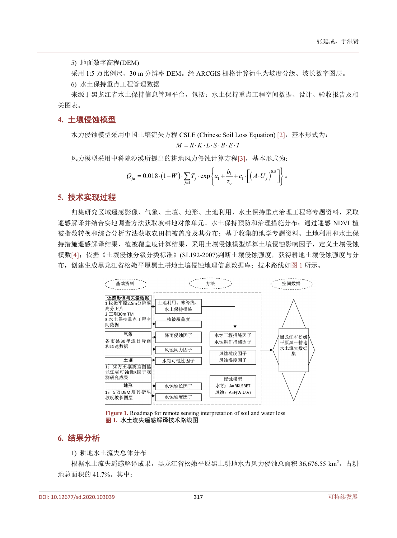5) 地面数字高程(DEM)

采用 1:5 万比例尺、30 m 分辨率 DEM。经 ARCGIS 栅格计算衍生为坡度分级、坡长数字图层。

6) 水土保持重点工程管理数据

来源于黑龙江省水土保持信息管理平台,包括:水土保持重点工程空间数据、设计、验收报告及相 关图表。

### **4.** 土壤侵蚀模型

水力侵蚀模型采用中国土壤流失方程 CSLE (Chinese Soil Loss Equation) [\[2\]](#page-4-1),基本形式为:

$$
M = R \cdot K \cdot L \cdot S \cdot B \cdot E \cdot T
$$

风力模型采用中科院沙漠所提出的耕地风力侵蚀计算方程[\[3\]](#page-4-2),基本形式为:

$$
Q_{fa} = 0.018 \cdot (1 - W) \cdot \sum_{j=1} T_j \cdot \exp \left\{ a_1 + \frac{b_1}{z_0} + c_1 \cdot \left[ \left( A \cdot U_j \right)^{0.5} \right] \right\}.
$$

#### **5.** 技术实现过程

归集研究区域遥感影像、气象、土壤、地形、土地利用、水土保持重点治理工程等专题资料,采取 遥感解译并结合实地调查方法获取坡耕地对象单元、水土保持预防和治理措施分布;通过遥感 NDVI 植 被指数转换和综合分析方法获取农田植被盖度及其分布;基于收集的地学专题资料、土地利用和水土保 持措施遥感解译结果、植被覆盖度计算结果,采用土壤侵蚀模型解算土壤侵蚀影响因子,定义土壤侵蚀 模数[\[4\]](#page-5-0);依据《土壤侵蚀分级分类标准》(SL192-2007)判断土壤侵蚀强度,获得耕地土壤侵蚀强度与分 布,创建生成黑龙江省松嫩平原黑土耕地土壤侵蚀地理信息数据库;技术路线[如图](#page-2-0) 1 所示。

<span id="page-2-0"></span>

**Figure 1.** Roadmap for remote sensing interpretation of soil and water loss 图 **1.** 水土流失遥感解译技术路线图

#### **6.** 结果分析

1) 耕地水土流失总体分布

根据水土流失遥感解译成果,黑龙江省松嫩平原黑土耕地水力风力侵蚀总面积 36,676.55 km2, 占耕 地总面积的 41.7%。其中: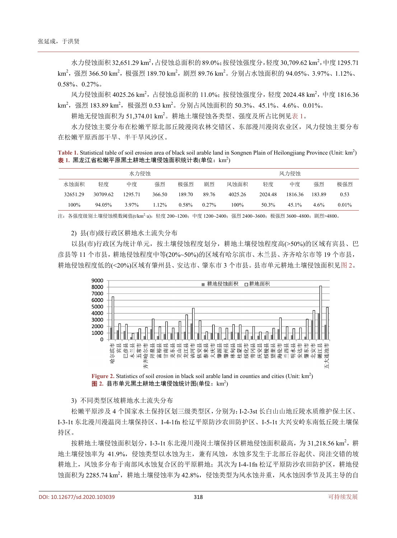水力侵蚀面积 32,651.29 km<sup>2</sup>, 占侵蚀总面积的 89.0%; 按侵蚀强度分, 轻度 30,709.62 km<sup>2</sup>, 中度 1295.71 km²,强烈 366.50 km²,极强烈 189.70 km²,剧烈 89.76 km²。分别占水蚀面积的 94.05%、3.97%、1.12%、 0.58%、0.27%。

风力侵蚀面积 4025.26 km<sup>2</sup>, 占侵蚀总面积的 11.0%;按侵蚀强度分, 轻度 2024.48 km<sup>2</sup>, 中度 1816.36 km²,强烈 183.89 km²,极强烈 0.53 km²。分别占风蚀面积的 50.3%、45.1%、4.6%、0.01%。

耕地无侵蚀面积为 51,374.01 km2。耕地土壤侵蚀各类型、强度及所占比例[见表](#page-3-0) 1。

水力侵蚀主要分布在松嫩平原北部丘陵漫岗农林交错区、东部漫川漫岗农业区,风力侵蚀主要分布 在松嫩平原西部干旱、半干旱风沙区。

<span id="page-3-0"></span>Table 1. Statistical table of soil erosion area of black soil arable land in Songnen Plain of Heilongjiang Province (Unit: km<sup>2</sup>) <mark>表</mark> 1. 黑龙江省松嫩平原黑土耕地土壤侵蚀面积统计表(单位: km<sup>2</sup>)

|          | 风力侵蚀     |         |          |        |          |         |         |         |        |          |
|----------|----------|---------|----------|--------|----------|---------|---------|---------|--------|----------|
| 水蚀面积     | 轻度       | 中度      | 强烈       | 极强烈    | 剧烈       | 风蚀面积    | 轻度      | 中度      | 强烈     | 极强烈      |
| 32651.29 | 30709.62 | 1295.71 | 366.50   | 189.70 | 89.76    | 4025.26 | 2024.48 | 1816.36 | 183.89 | 0.53     |
| 100%     | 94.05%   | 3.97%   | $1.12\%$ | 0.58%  | $0.27\%$ | 100%    | 50.3%   | 45.1%   | 4.6%   | $0.01\%$ |

注: 各强度级别土壤侵蚀模数阈值(t/km<sup>2.</sup>a): 轻度 200~1200; 中度 1200~2400; 强烈 2400~3600; 极强烈 3600~4800; 剧烈>4800。

2) 县(市)级行政区耕地水土流失分布

<span id="page-3-1"></span>以县(市)行政区为统计单元,按土壤侵蚀程度划分,耕地土壤侵蚀程度高(>50%)的区域有宾县、巴 彦县等 11 个市县,耕地侵蚀程度中等(20%~50%)的区域有哈尔滨市、木兰县、齐齐哈尔市等 19 个市县, 耕地侵蚀程度低的(<20%)区域有肇州县、安达市、肇东市 3 个市县。县市单元耕地土壤侵蚀面积[见图](#page-3-1) 2。



Figure 2. Statistics of soil erosion in black soil arable land in counties and cities (Unit: km<sup>2</sup>) 图 2. 县市单元黑土耕地土壤侵蚀统计图(单位: km<sup>2</sup>)

3) 不同类型区坡耕地水土流失分布

松嫩平原涉及 4 个国家水土保持区划三级类型区,分别为:I-2-3st 长白山山地丘陵水质维护保土区、 I-3-1t 东北漫川漫温岗土壤保持区、I-4-1fn 松辽平原防沙农田防护区、I-5-1t 大兴安岭东南低丘陵土壤保 持区。

按耕地土壤侵蚀面积划分, I-3-1t 东北漫川漫岗土壤保持区耕地侵蚀面积最高, 为 31,218.56 km<sup>2</sup>, 耕 地土壤侵蚀率为 41.9%,侵蚀类型以水蚀为主,兼有风蚀,水蚀多发生于北部丘谷起伏、岗洼交错的坡 耕地上,风蚀多分布于南部风水蚀复合区的平原耕地;其次为 I-4-1fn 松辽平原防沙农田防护区,耕地侵 蚀面积为 2285.74 km2, 耕地土壤侵蚀率为 42.8%, 侵蚀类型为风水蚀并重, 风水蚀因季节及其主导的自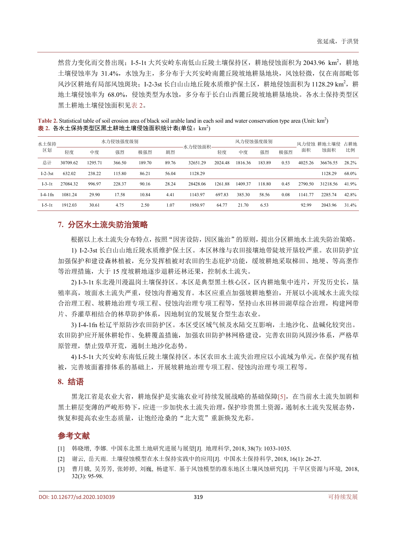然营力变化而交替出现; I-5-1t 大兴安岭东南低山丘陵土壤保持区, 耕地侵蚀面积为 2043.96 km2, 耕地 土壤侵蚀率为 31.4%,水蚀为主,多分布于大兴安岭南麓丘陵坡地耕垦地块,风蚀轻微,仅在南部毗邻 风沙区耕地有局部风蚀斑块; I-2-3st 长白山山地丘陵水质维护保土区, 耕地侵蚀面积为 1128.29 km<sup>2</sup>, 耕 地土壤侵蚀率为 68.0%,侵蚀类型为水蚀,多分布于长白山西麓丘陵坡地耕垦地块。各水土保持类型区 黑土耕地土壤侵蚀面积[见表](#page-4-3) 2。

<span id="page-4-3"></span>Table 2. Statistical table of soil erosion area of black soil arable land in each soil and water conservation type area (Unit: km<sup>2</sup>) <mark>表 2. 各水土保持类型区黑土耕地土壤侵蚀面积统计表(单位:km<sup>2</sup>)</mark>

| 水土保持<br>区划 | 水力侵蚀强度级别 |         |        |        |       |          | 风力侵蚀强度级别 |         |        |      |         | 风力侵蚀 耕地土壤侵 | 占耕地   |
|------------|----------|---------|--------|--------|-------|----------|----------|---------|--------|------|---------|------------|-------|
|            | 轻度       | 中度      | 强烈     | 极强烈    | 剧烈    | 水力侵蚀面积·  | 轻度       | 中度      | 强烈     | 极强烈  | 面积      | 蚀面积        | 比例    |
| 总计         | 30709.62 | 1295.71 | 366.50 | 189.70 | 89.76 | 32651.29 | 2024.48  | 1816.36 | 183.89 | 0.53 | 4025.26 | 36676.55   | 28.2% |
| $I-2-3st$  | 632.02   | 238.22  | 115.80 | 86.21  | 56.04 | 1128.29  |          |         |        |      |         | 1128.29    | 68.0% |
| $I-3-1t$   | 27084.32 | 996.97  | 228.37 | 90.16  | 28.24 | 28428.06 | 1261.88  | 1409.37 | 118.80 | 0.45 | 2790.50 | 31218.56   | 41.9% |
| $I-4-1$ fn | 1081.24  | 29.90   | 17.58  | 10.84  | 4.41  | 1143.97  | 697.83   | 385.30  | 58.56  | 0.08 | 1141.77 | 2285.74    | 42.8% |
| $I-5-1t$   | 1912.03  | 30.61   | 4.75   | 2.50   | 1.07  | 1950.97  | 64.77    | 21.70   | 6.53   |      | 92.99   | 2043.96    | 31.4% |

# **7.** 分区水土流失防治策略

根据以上水土流失分布特点,按照"因害设防,因区施治"的原则,提出分区耕地水土流失防治策略。

1) I-2-3st 长白山山地丘陵水质维护保土区。本区林缘与农田接壤地带陡坡开垦较严重。农田防护宜 加强保护和建设森林植被,充分发挥植被对农田的生态庇护功能,缓坡耕地采取梯田、地埂、等高垄作 等治理措施,大于 15 度坡耕地逐步退耕还林还果,控制水土流失。

2) I-3-1t 东北漫川漫温岗土壤保持区。本区是典型黑土核心区,区内耕地集中连片,开发历史长,垦 殖率高,坡面水土流失严重,侵蚀沟普遍发育。本区应重点加强坡耕地整治,开展以小流域水土流失综 合治理工程、坡耕地治理专项工程、侵蚀沟治理专项工程等,坚持山水田林田湖草综合治理,构建网带 片、乔灌草相结合的林草防护体系,因地制宜的发展复合型生态农业。

3) I-4-1fn 松辽平原防沙农田防护区。本区受区域气候及水陆交互影响,土地沙化、盐碱化较突出。 农田防护应开展休耕轮作、免耕覆盖措施,加强农田防护林网格建设,完善农田防风固沙体系,严格草 原管理, 禁止毁草开荒, 遏制土地沙化态势。

4) I-5-1t 大兴安岭东南低丘陵土壤保持区。本区农田水土流失治理应以小流域为单元,在保护现有植 被,完善坡面蓄排体系的基础上,开展坡耕地治理专项工程、侵蚀沟治理专项工程等。

### **8.** 结语

黑龙江省是农业大省,耕地保护是实施农业可持续发展战略的基础保障[\[5\]](#page-5-1), 在当前水土流失加剧和 黑土耕层变薄的严峻形势下,应进一步加快水土流失治理,保护珍贵黑土资源,遏制水土流失发展态势, 恢复和提高农业生态质量,让饱经沧桑的"北大荒"重新焕发光彩。

# 参考文献

- <span id="page-4-0"></span>[1] 韩晓增, 李娜. 中国东北黑土地研究进展与展望[J]. 地理科学, 2018, 38(7): 1033-1035.
- <span id="page-4-1"></span>[2] 谢云, 岳天雨. 土壤侵蚀模型在水土保持实践中的应用[J]. 中国水土保持科学, 2018, 16(1): 26-27.
- <span id="page-4-2"></span>[3] 曹月娥, 吴芳芳, 张婷婷, 刘巍, 杨建军. 基于风蚀模型的准东地区土壤风蚀研究[J]. 干旱区资源与环境, 2018, 32(3): 95-98.